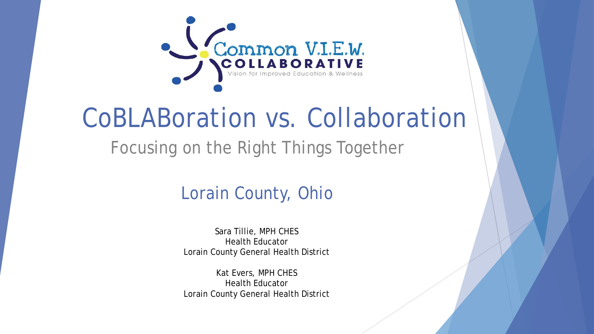

# CoBLABoration vs. Collaboration Focusing on the Right Things Together

## Lorain County, Ohio

Sara Tillie, MPH CHES Health Educator Lorain County General Health District

Kat Evers, MPH CHES Health Educator Lorain County General Health District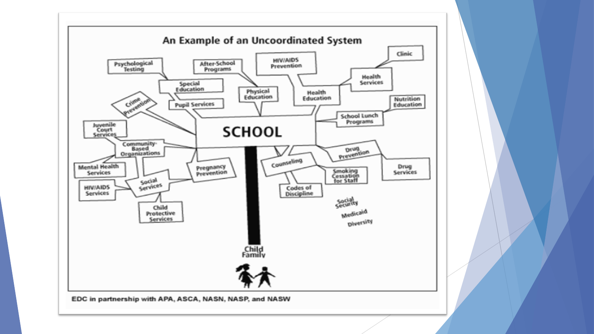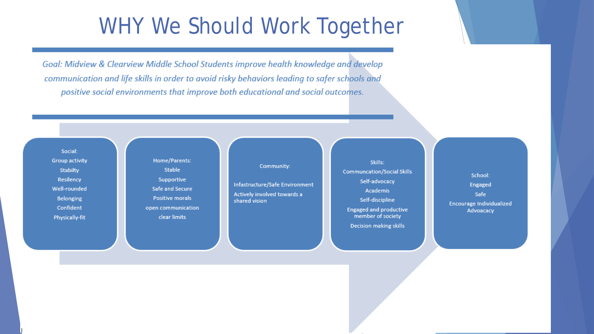## **WHY We Should Work Together**

Goal: Midview & Clearview Middle School Students improve health knowledge and develop communication and life skills in order to avoid risky behaviors leading to safer schools and positive social environments that improve both educational and social outcomes.

Social: **Group activity** Stabilty Resilency Well-rounded Belonging Confident Physically-fit

Home/Parents: **Stable** Supportive Safe and Secure **Positive morals** open communication clear limits

#### Community:

Infastructure/Safe Environment Actively involved towards a shared vision

Skills: **Communcation/Social Skills** Self-advocacy Academis

Self-discipline

**Engaged and productive** member of society

Decision making skills

School: Engaged Safe Encourage Individualized Advoacacy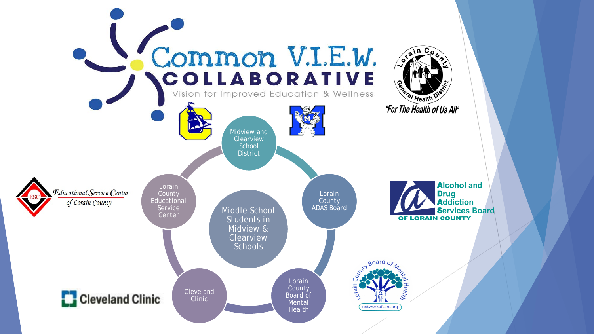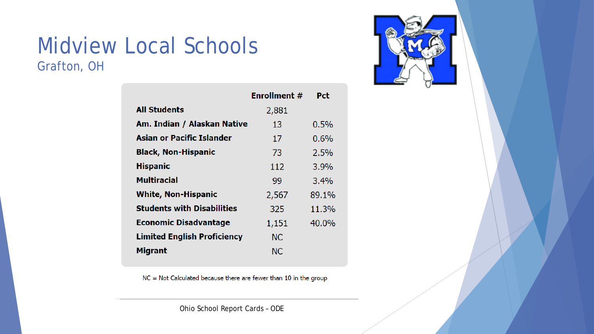### Midview Local Schools Grafton, OH

|                                    | Enrollment # | <b>Pct</b> |
|------------------------------------|--------------|------------|
| <b>All Students</b>                | 2,881        |            |
| Am. Indian / Alaskan Native        | 13           | 0.5%       |
| Asian or Pacific Islander          | 17           | 0.6%       |
| <b>Black, Non-Hispanic</b>         | 73           | 2.5%       |
| <b>Hispanic</b>                    | 112          | 3.9%       |
| <b>Multiracial</b>                 | 99           | $3.4\%$    |
| <b>White, Non-Hispanic</b>         | 2,567        | 89.1%      |
| <b>Students with Disabilities</b>  | 325          | 11.3%      |
| <b>Economic Disadvantage</b>       | 1,151        | 40.0%      |
| <b>Limited English Proficiency</b> | <b>NC</b>    |            |
| <b>Migrant</b>                     | <b>NC</b>    |            |

 $NC = Not$  Calculated because there are fewer than 10 in the group

Ohio School Report Cards – ODE

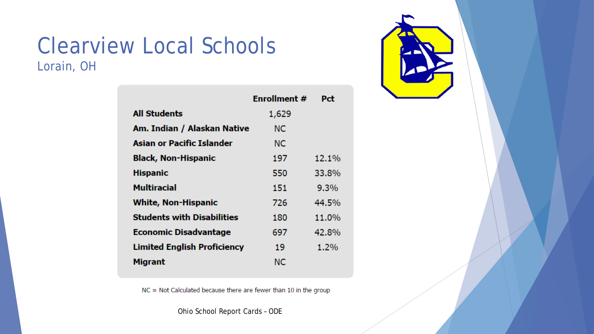### Clearview Local Schools Lorain, OH

|                                    | <b>Enrollment #</b> | Pct     |
|------------------------------------|---------------------|---------|
| <b>All Students</b>                | 1,629               |         |
| Am. Indian / Alaskan Native        | NC.                 |         |
| Asian or Pacific Islander          | NС                  |         |
| <b>Black, Non-Hispanic</b>         | 197                 | 12.1%   |
| <b>Hispanic</b>                    | 550                 | 33.8%   |
| <b>Multiracial</b>                 | 151                 | $9.3\%$ |
| <b>White, Non-Hispanic</b>         | 726                 | 44.5%   |
| <b>Students with Disabilities</b>  | 180                 | 11.0%   |
| <b>Economic Disadvantage</b>       | 697                 | 42.8%   |
| <b>Limited English Proficiency</b> | 19                  | 1.2%    |
| <b>Migrant</b>                     | NС                  |         |

 $NC = Not$  Calculated because there are fewer than 10 in the group

Ohio School Report Cards – ODE

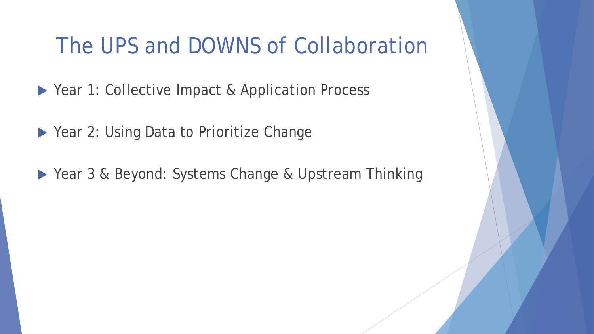## The UPS and DOWNS of Collaboration

- ▶ Year 1: Collective Impact & Application Process
- ▶ Year 2: Using Data to Prioritize Change
- ▶ Year 3 & Beyond: Systems Change & Upstream Thinking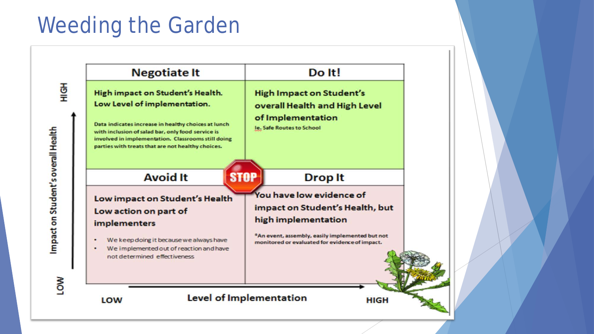# Weeding the Garden

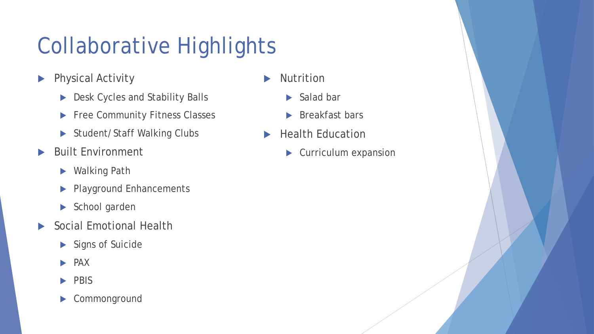# Collaborative Highlights

- **Physical Activity** 
	- Desk Cycles and Stability Balls
	- **Filter Community Fitness Classes**
	- ▶ Student/Staff Walking Clubs
- Built Environment
	- ▶ Walking Path
	- Playground Enhancements
	- School garden
- Social Emotional Health
	- Signs of Suicide
	- PAX
	- PBIS
	- Commonground
- **Nutrition** 
	- $\blacktriangleright$  Salad bar
	- $\blacktriangleright$  Breakfast bars
- $\blacktriangleright$  Health Education
	- Curriculum expansion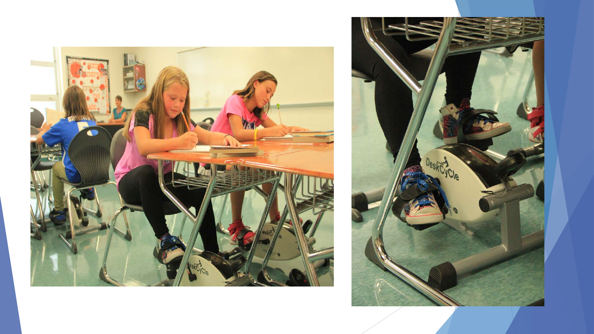

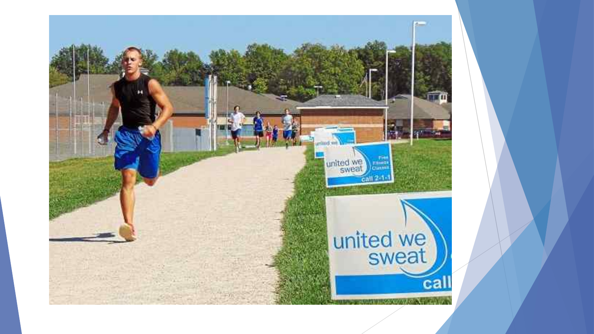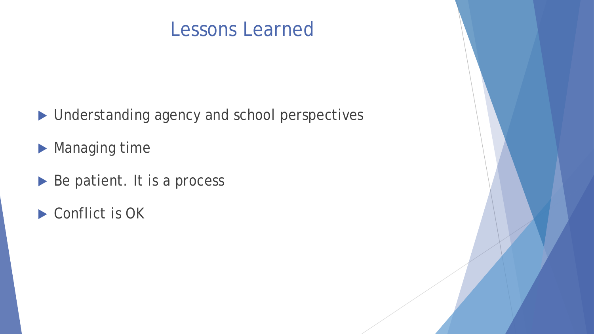## Lessons Learned

- $\blacktriangleright$  Understanding agency and school perspectives
- **Managing time**
- Be patient. It is a process
- Conflict is OK